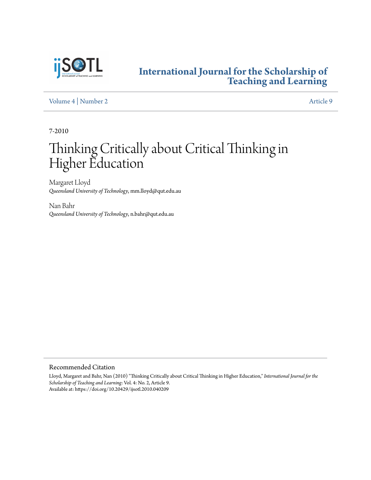

### **[International Journal for the Scholarship of](https://digitalcommons.georgiasouthern.edu/ij-sotl?utm_source=digitalcommons.georgiasouthern.edu%2Fij-sotl%2Fvol4%2Fiss2%2F9&utm_medium=PDF&utm_campaign=PDFCoverPages) [Teaching and Learning](https://digitalcommons.georgiasouthern.edu/ij-sotl?utm_source=digitalcommons.georgiasouthern.edu%2Fij-sotl%2Fvol4%2Fiss2%2F9&utm_medium=PDF&utm_campaign=PDFCoverPages)**

[Volume 4](https://digitalcommons.georgiasouthern.edu/ij-sotl/vol4?utm_source=digitalcommons.georgiasouthern.edu%2Fij-sotl%2Fvol4%2Fiss2%2F9&utm_medium=PDF&utm_campaign=PDFCoverPages) | [Number 2](https://digitalcommons.georgiasouthern.edu/ij-sotl/vol4/iss2?utm_source=digitalcommons.georgiasouthern.edu%2Fij-sotl%2Fvol4%2Fiss2%2F9&utm_medium=PDF&utm_campaign=PDFCoverPages) [Article 9](https://digitalcommons.georgiasouthern.edu/ij-sotl/vol4/iss2/9?utm_source=digitalcommons.georgiasouthern.edu%2Fij-sotl%2Fvol4%2Fiss2%2F9&utm_medium=PDF&utm_campaign=PDFCoverPages)

7-2010

# Thinking Critically about Critical Thinking in Higher Education

Margaret Lloyd *Queensland University of Technology*, mm.lloyd@qut.edu.au

Nan Bahr *Queensland University of Technology*, n.bahr@qut.edu.au

Recommended Citation

Lloyd, Margaret and Bahr, Nan (2010) "Thinking Critically about Critical Thinking in Higher Education," *International Journal for the Scholarship of Teaching and Learning*: Vol. 4: No. 2, Article 9. Available at: https://doi.org/10.20429/ijsotl.2010.040209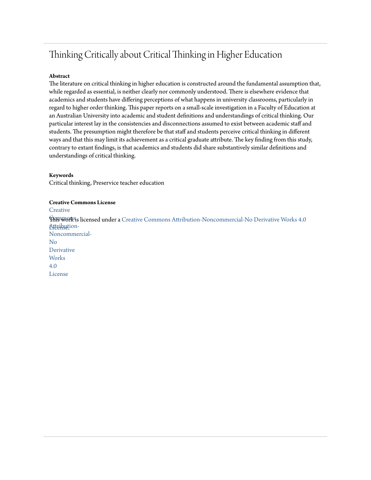# Thinking Critically about Critical Thinking in Higher Education

#### **Abstract**

The literature on critical thinking in higher education is constructed around the fundamental assumption that, while regarded as essential, is neither clearly nor commonly understood. There is elsewhere evidence that academics and students have differing perceptions of what happens in university classrooms, particularly in regard to higher order thinking. This paper reports on a small-scale investigation in a Faculty of Education at an Australian University into academic and student definitions and understandings of critical thinking. Our particular interest lay in the consistencies and disconnections assumed to exist between academic staff and students. The presumption might therefore be that staff and students perceive critical thinking in different ways and that this may limit its achievement as a critical graduate attribute. The key finding from this study, contrary to extant findings, is that academics and students did share substantively similar definitions and understandings of critical thinking.

#### **Keywords**

Critical thinking, Preservice teacher education

#### **Creative Commons License**

**[Creative](https://creativecommons.org/licenses/by-nc-nd/4.0/)** 

 $\operatorname{F\!M\!B\!W\!O\!R\!S\!i}$  licensed under a [Creative Commons Attribution-Noncommercial-No Derivative Works 4.0](https://creativecommons.org/licenses/by-nc-nd/4.0/) Atternution-Noncommercial-No Derivative **Works** 4.0 License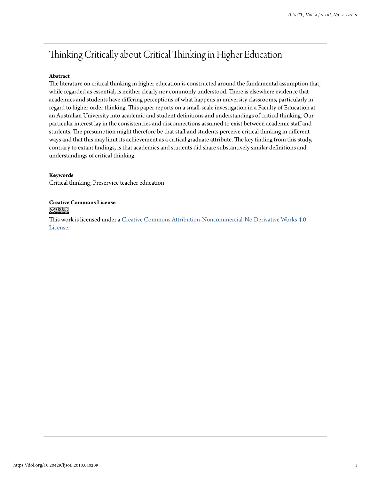## Thinking Critically about Critical Thinking in Higher Education

#### **Abstract**

The literature on critical thinking in higher education is constructed around the fundamental assumption that, while regarded as essential, is neither clearly nor commonly understood. There is elsewhere evidence that academics and students have differing perceptions of what happens in university classrooms, particularly in regard to higher order thinking. This paper reports on a small-scale investigation in a Faculty of Education at an Australian University into academic and student definitions and understandings of critical thinking. Our particular interest lay in the consistencies and disconnections assumed to exist between academic staff and students. The presumption might therefore be that staff and students perceive critical thinking in different ways and that this may limit its achievement as a critical graduate attribute. The key finding from this study, contrary to extant findings, is that academics and students did share substantively similar definitions and understandings of critical thinking.

#### **Keywords**

Critical thinking, Preservice teacher education

#### **Creative Commons License** @<u>000</u>

This work is licensed under a [Creative Commons Attribution-Noncommercial-No Derivative Works 4.0](https://creativecommons.org/licenses/by-nc-nd/4.0/) [License.](https://creativecommons.org/licenses/by-nc-nd/4.0/)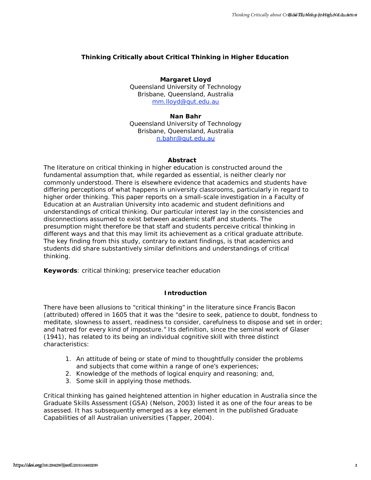#### **Thinking Critically about Critical Thinking in Higher Education**

#### **Margaret Lloyd**

Queensland University of Technology Brisbane, Queensland, Australia [mm.lloyd@qut.edu.au](mailto:mm.lloyd@qut.edu.au)

#### **Nan Bahr**

Queensland University of Technology Brisbane, Queensland, Australia [n.bahr@qut.edu.au](mailto:n.bahr@qut.edu.au)

#### **Abstract**

The literature on critical thinking in higher education is constructed around the fundamental assumption that, while regarded as essential, is neither clearly nor commonly understood. There is elsewhere evidence that academics and students have differing perceptions of what happens in university classrooms, particularly in regard to higher order thinking. This paper reports on a small-scale investigation in a Faculty of Education at an Australian University into academic and student definitions and understandings of critical thinking. Our particular interest lay in the consistencies and disconnections assumed to exist between academic staff and students. The presumption might therefore be that staff and students perceive critical thinking in different ways and that this may limit its achievement as a critical graduate attribute. The key finding from this study, contrary to extant findings, is that academics and students did share substantively similar definitions and understandings of critical thinking. holds, the chiral of a bound of the chiral of the chiral of the chiral of the chiral of the chiral of the chiral of the chiral of the chiral of the chiral of the chiral of the chiral of the chiral of the chiral of the chir

**Keywords**: critical thinking; preservice teacher education

#### **Introduction**

There have been allusions to "critical thinking" in the literature since Francis Bacon (attributed) offered in 1605 that it was the "desire to seek, patience to doubt, fondness to meditate, slowness to assert, readiness to consider, carefulness to dispose and set in order; and hatred for every kind of imposture." Its definition, since the seminal work of Glaser (1941), has related to its being an individual cognitive skill with three distinct characteristics:

- 1. An attitude of being or state of mind to thoughtfully consider the problems and subjects that come within a range of one's experiences;
- 2. Knowledge of the methods of logical enquiry and reasoning; and,
- 3. Some skill in applying those methods.

Critical thinking has gained heightened attention in higher education in Australia since the Graduate Skills Assessment (GSA) (Nelson, 2003) listed it as one of the four areas to be assessed. It has subsequently emerged as a key element in the published Graduate Capabilities of all Australian universities (Tapper, 2004).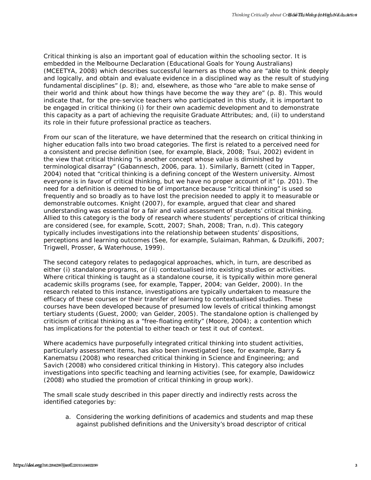Critical thinking is also an important goal of education within the schooling sector. It is embedded in the Melbourne Declaration (*Educational Goals for Young Australians*) (MCEETYA, 2008) which describes successful learners as those who are "able to think deeply and logically, and obtain and evaluate evidence in a disciplined way as the result of studying fundamental disciplines" (p. 8); and, elsewhere, as those who "are able to make sense of their world and think about how things have become the way they are" (p. 8). This would indicate that, for the pre-service teachers who participated in this study, it is important to be engaged in critical thinking (i) for their own academic development and to demonstrate this capacity as a part of achieving the requisite Graduate Attributes; and, (ii) to understand its role in their future professional practice as teachers.

From our scan of the literature, we have determined that the research on critical thinking in higher education falls into two broad categories. The first is related to a perceived need for a consistent and precise definition (see, for example, Black, 2008; Tsui, 2002) evident in the view that critical thinking "is another concept whose value is diminished by terminological disarray" (Gabannesch, 2006, para. 1). Similarly, Barnett (cited in Tapper, 2004) noted that "critical thinking is a defining concept of the Western university. Almost everyone is in favor of critical thinking, but we have no proper account of it" (p. 201). The need for a definition is deemed to be of importance because "critical thinking" is used so frequently and so broadly as to have lost the precision needed to apply it to measurable or demonstrable outcomes. Knight (2007), for example, argued that clear and shared understanding was essential for a fair and valid assessment of students' critical thinking. Allied to this category is the body of research where students' perceptions of critical thinking are considered (see, for example, Scott, 2007; Shah, 2008; Tran, n.d). This category typically includes investigations into the relationship between students' dispositions, perceptions and learning outcomes (See, for example, Sulaiman, Rahman, & Dzulkifli, 2007; Trigwell, Prosser, & Waterhouse, 1999). Forting Himalang is also an important past of exustion valies the excellent statistical deeply<br>sections and the energy of the energy of the energy of the energy of the energy of the energy of the energy of the energy of

The second category relates to pedagogical approaches, which, in turn, are described as either (i) standalone programs, or (ii) contextualised into existing studies or activities. Where critical thinking is taught as a standalone course, it is typically within more general academic skills programs (see, for example, Tapper, 2004; van Gelder, 2000). In the research related to this instance, investigations are typically undertaken to measure the efficacy of these courses or their transfer of learning to contextualised studies. These courses have been developed because of presumed low levels of critical thinking amongst tertiary students (Guest, 2000; van Gelder, 2005). The standalone option is challenged by criticism of critical thinking as a "free-floating entity" (Moore, 2004); a contention which has implications for the potential to either teach or test it out of context.

Where academics have purposefully integrated critical thinking into student activities, particularly assessment items, has also been investigated (see, for example, Barry & Kanematsu (2008) who researched critical thinking in Science and Engineering; and Savich (2008) who considered critical thinking in History). This category also includes investigations into specific teaching and learning activities (see, for example, Dawidowicz (2008) who studied the promotion of critical thinking in group work).

The small scale study described in this paper directly and indirectly rests across the identified categories by:

a. Considering the working definitions of academics and students and map these against published definitions and the University's broad descriptor of critical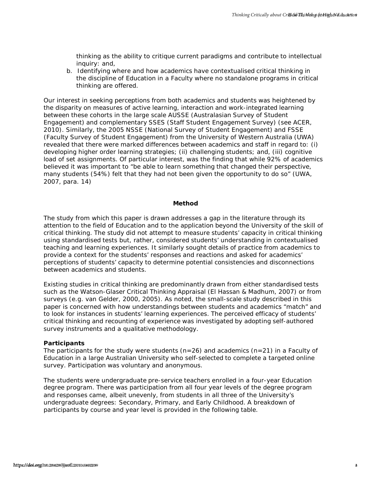thinking as the ability to critique current paradigms and contribute to intellectual inquiry: and,

b. Identifying where and how academics have contextualised critical thinking in the discipline of Education in a Faculty where no standalone programs in critical thinking are offered.

Our interest in seeking perceptions from both academics and students was heightened by the disparity on measures of active learning, interaction and work-integrated learning between these cohorts in the large scale AUSSE (Australasian Survey of Student Engagement) and complementary SSES (Staff Student Engagement Survey) (see ACER, 2010). Similarly, the 2005 NSSE (National Survey of Student Engagement) and FSSE (Faculty Survey of Student Engagement) from the University of Western Australia (UWA) revealed that there were marked differences between academics and staff in regard to: (i) developing higher order learning strategies; (ii) challenging students; and, (iii) cognitive load of set assignments. Of particular interest, was the finding that while 92% of academics believed it was important to "be able to learn something that changed their perspective, many students (54%) felt that they had not been given the opportunity to do so" (UWA, 2007, para. 14) hooks, and the college of the control of the control of the control of the control of the control of the control of the control of the control of the control of the control of the control of the control of the control of t

#### **Method**

The study from which this paper is drawn addresses a gap in the literature through its attention to the field of Education and to the application beyond the University of the skill of critical thinking. The study did not attempt to measure students' capacity in critical thinking using standardised tests but, rather, considered students' understanding in contextualised teaching and learning experiences. It similarly sought details of practice from academics to provide a context for the students' responses and reactions and asked for academics' perceptions of students' capacity to determine potential consistencies and disconnections between academics and students.

Existing studies in critical thinking are predominantly drawn from either standardised tests such as the Watson-Glaser Critical Thinking Appraisal (El Hassan & Madhum, 2007) or from surveys (e.g. van Gelder, 2000, 2005). As noted, the small-scale study described in this paper is concerned with how understandings between students and academics "match" and to look for instances in students' learning experiences. The perceived efficacy of students' critical thinking and recounting of experience was investigated by adopting self-authored survey instruments and a qualitative methodology.

#### **Participants**

The participants for the study were students (*n=*26) and academics (*n=*21) in a Faculty of Education in a large Australian University who self-selected to complete a targeted online survey. Participation was voluntary and anonymous.

The students were undergraduate pre-service teachers enrolled in a four-year Education degree program. There was participation from all four year levels of the degree program and responses came, albeit unevenly, from students in all three of the University's undergraduate degrees: Secondary, Primary, and Early Childhood. A breakdown of participants by course and year level is provided in the following table.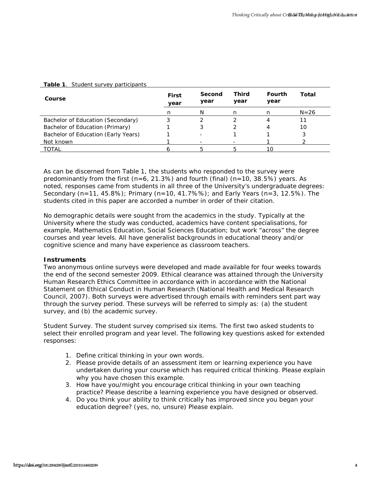| Course                                                                                                                                                                                                                                                                                                                                                                                                                                                                                                                                                                         | <b>First</b><br>year | Second<br>year | <b>Third</b><br>year | Fourth<br>year                                                             | <b>Total</b> |
|--------------------------------------------------------------------------------------------------------------------------------------------------------------------------------------------------------------------------------------------------------------------------------------------------------------------------------------------------------------------------------------------------------------------------------------------------------------------------------------------------------------------------------------------------------------------------------|----------------------|----------------|----------------------|----------------------------------------------------------------------------|--------------|
|                                                                                                                                                                                                                                                                                                                                                                                                                                                                                                                                                                                | n                    | Ν              | n                    | n                                                                          | $N = 26$     |
| Bachelor of Education (Secondary)                                                                                                                                                                                                                                                                                                                                                                                                                                                                                                                                              | 3                    | 2              | $\overline{2}$       | 4                                                                          | 11           |
| Bachelor of Education (Primary)                                                                                                                                                                                                                                                                                                                                                                                                                                                                                                                                                | 1                    | 3              | 2                    | 4                                                                          | 10           |
| Bachelor of Education (Early Years)<br>Not known                                                                                                                                                                                                                                                                                                                                                                                                                                                                                                                               | 1<br>1               |                | 1                    | 1<br>1                                                                     | 3<br>2       |
| <b>TOTAL</b>                                                                                                                                                                                                                                                                                                                                                                                                                                                                                                                                                                   | 6                    | 5              | 5                    | 10                                                                         |              |
|                                                                                                                                                                                                                                                                                                                                                                                                                                                                                                                                                                                |                      |                |                      |                                                                            |              |
| <b>Instruments</b><br>Two anonymous online surveys were developed and made available for four weeks towards<br>the end of the second semester 2009. Ethical clearance was attained through the University<br>Human Research Ethics Committee in accordance with in accordance with the National<br>Statement on Ethical Conduct in Human Research (National Health and Medical Research<br>Council, 2007). Both surveys were advertised through emails with reminders sent part way<br>through the survey period. These surveys will be referred to simply as: (a) the student |                      |                |                      |                                                                            |              |
| survey, and (b) the academic survey.<br>Student Survey. The student survey comprised six items. The first two asked students to<br>select their enrolled program and year level. The following key questions asked for extended<br>responses:                                                                                                                                                                                                                                                                                                                                  |                      |                |                      |                                                                            |              |
| 1. Define critical thinking in your own words.<br>2. Please provide details of an assessment item or learning experience you have<br>undertaken during your course which has required critical thinking. Please explain<br>why you have chosen this example.                                                                                                                                                                                                                                                                                                                   |                      |                |                      | 3. How have you/might you encourage critical thinking in your own teaching |              |

#### **Table 1**. Student survey participants

#### **Instruments**

- 1. Define critical thinking in your own words.
- 2. Please provide details of an assessment item or learning experience you have undertaken during your course which has required critical thinking. Please explain why you have chosen this example.
- 3. How have you/might you encourage critical thinking in your own teaching practice? Please describe a learning experience you have designed or observed.
- 4. Do you think your ability to think critically has improved since you began your education degree? (yes, no, unsure) Please explain.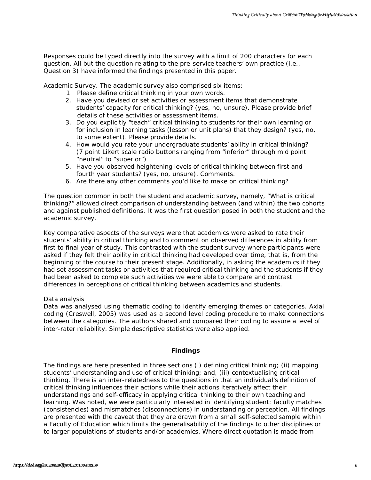Responses could be typed directly into the survey with a limit of 200 characters for each question. All but the question relating to the pre-service teachers' own practice (i.e., Question 3) have informed the findings presented in this paper.

*Academic Survey.* The academic survey also comprised six items:

- 1. Please define critical thinking in your own words.
- 2. Have you devised or set activities or assessment items that demonstrate students' capacity for critical thinking? (yes, no, unsure). Please provide brief details of these activities or assessment items.
- 3. Do you explicitly "teach" critical thinking to students for their own learning or for inclusion in learning tasks (lesson or unit plans) that they design? (yes, no, to some extent). Please provide details.
- 4. How would you rate your undergraduate students' ability in critical thinking? (7 point Likert scale radio buttons ranging from "inferior" through mid point "neutral" to "superior")
- 5. Have you observed heightening levels of critical thinking between first and fourth year students? (yes, no, unsure). Comments.
- 6. Are there any other comments you'd like to make on critical thinking?

The question common in both the student and academic survey, namely, "What is critical thinking?" allowed direct comparison of understanding between (and within) the two cohorts and against published definitions. It was the first question posed in both the student and the academic survey.

Key comparative aspects of the surveys were that academics were asked to rate their students' ability in critical thinking and to comment on observed differences in ability from first to final year of study. This contrasted with the student survey where participants were asked if they felt their ability in critical thinking had developed over time, that is, from the beginning of the course to their present stage. Additionally, in asking the academics if they had set assessment tasks or activities that required critical thinking and the students if they had been asked to complete such activities we were able to compare and contrast differences in perceptions of critical thinking between academics and students.

#### *Data analysis*

Data was analysed using thematic coding to identify emerging themes or categories. Axial coding (Creswell, 2005) was used as a second level coding procedure to make connections between the categories. The authors shared and compared their coding to assure a level of inter-rater reliability. Simple descriptive statistics were also applied.

#### **Findings**

The findings are here presented in three sections (i) defining critical thinking; (ii) mapping students' understanding and use of critical thinking; and, (iii) contextualising critical thinking. There is an inter-relatedness to the questions in that an individual's definition of critical thinking influences their actions while their actions iteratively affect their understandings and self-efficacy in applying critical thinking to their own teaching and learning. Was noted, we were particularly interested in identifying student: faculty matches (consistencies) and mismatches (disconnections) in understanding or perception. All findings are presented with the caveat that they are drawn from a small self-selected sample within a Faculty of Education which limits the generalisability of the findings to other disciplines or to larger populations of students and/or academics. Where direct quotation is made from https://doi.org/10.20429/istorics.com/internal technology/istorics.com/internal technology/istorics.com/internal technology/istorics.com/internal technology/istorics.com/internal technology/istorics.com/internal technology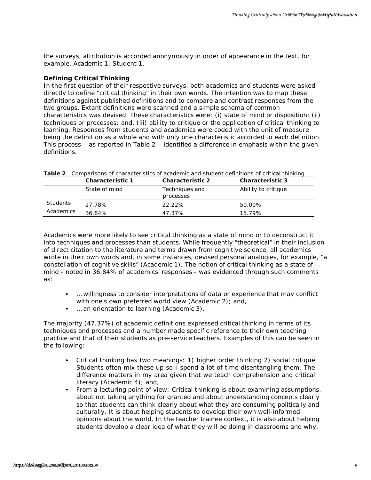the surveys, attribution is accorded anonymously in order of appearance in the text, for example, Academic 1, Student 1.

#### **Defining Critical Thinking**

In the first question of their respective surveys, both academics and students were asked directly to define "critical thinking" in their own words. The intention was to map these definitions against published definitions and to compare and contrast responses from the two groups. Extant definitions were scanned and a simple schema of common characteristics was devised. These characteristics were: (i) state of mind or disposition; (ii) techniques or processes; and, (iii) ability to critique or the application of critical thinking to learning. Responses from students and academics were coded with the unit of measure being the definition as a whole and with only one characteristic accorded to each definition. This process – as reported in Table 2 – identified a difference in emphasis within the given definitions. **html** extremely. attribution is accorded anonymously in order of appearance in the stor. for<br>Complete, Accidentic 1. Studient 1.<br>
Defining Orthogon Studient Studient 1. Studient 1.<br>
In the first quadratic of the first ex

|           | <b>Characteristic 1</b> | <b>Characteristic 2</b>     | <b>Characteristic 3</b> |
|-----------|-------------------------|-----------------------------|-------------------------|
|           | State of mind           | Techniques and<br>processes | Ability to critique     |
| Students  | 27.78%                  | 22.22%                      | 50.00%                  |
| Academics | 36.84%                  | 47.37%                      | 15.79%                  |

| <b>Table 2.</b> Comparisons of characteristics of academic and student definitions of critical thinking |  |
|---------------------------------------------------------------------------------------------------------|--|
|---------------------------------------------------------------------------------------------------------|--|

Academics were more likely to see critical thinking as a state of mind or to deconstruct it into techniques and processes than students. While frequently "theoretical" in their inclusion of direct citation to the literature and terms drawn from cognitive science, all academics wrote in their own words and, in some instances, devised personal analogies, for example, "a constellation of cognitive skills" (Academic 1). The notion of critical thinking as a state of mind - noted in 36.84% of academics' responses - was evidenced through such comments as:

- … willingness to consider interpretations of data or experience that may conflict with one's own preferred world view (Academic 2); and,
- ... an orientation to learning (Academic 3).

The majority (47.37%) of academic definitions expressed critical thinking in terms of its techniques and processes and a number made specific reference to their own teaching practice and that of their students as pre-service teachers. Examples of this can be seen in the following:

- Critical thinking has two meanings: 1) higher order thinking 2) social critique Students often mix these up so I spend a lot of time disentangling them. The difference matters in my area given that we teach comprehension and critical literacy (Academic 4); and,
- From a lecturing point of view: Critical thinking is about examining assumptions, about not taking anything for granted and about understanding concepts clearly so that students can think clearly about what they are consuming politically and culturally. It is about helping students to develop their own well-informed opinions about the world. In the teacher trainee context, it is also about helping students develop a clear idea of what they will be doing in classrooms and why,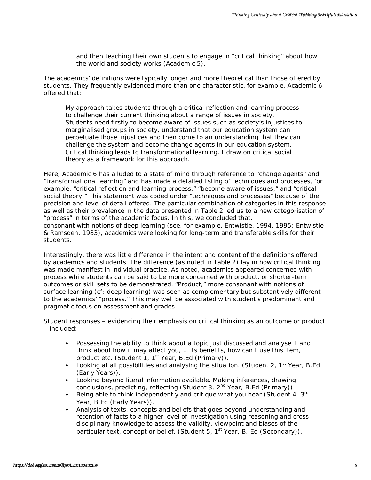and then teaching their own students to engage in "critical thinking" about how the world and society works (Academic 5).

The academics' definitions were typically longer and more theoretical than those offered by students. They frequently evidenced more than one characteristic, for example, Academic 6 offered that:

My approach takes students through a critical reflection and learning process to challenge their current thinking about a range of issues in society. Students need firstly to become aware of issues such as society's injustices to marginalised groups in society, understand that our education system can perpetuate those injustices and then come to an understanding that they can challenge the system and become change agents in our education system. Critical thinking leads to transformational learning. I draw on critical social theory as a framework for this approach.

Here, Academic 6 has alluded to a *state of mind* through reference to "change agents" and "transformational learning" and has made a detailed listing of *techniques and processes*, for example, "critical reflection and learning process," "become aware of issues," and "critical social theory." This statement was coded under "techniques and processes" because of the precision and level of detail offered. The particular combination of categories in this response as well as their prevalence in the data presented in Table 2 led us to a new categorisation of "process" in terms of the academic focus. In this, we concluded that, consonant with notions of deep learning (see, for example, Entwistle, 1994, 1995; Entwistle & Ramsden, 1983), academics were looking for long-term and transferable skills for their students. hook coloning their own students to engage in "critical thinking cross to organize the member of the students of the students of the students of the students of the students of the students of the students of the students

Interestingly, there was little difference in the intent and content of the definitions offered by academics and students. The difference (as noted in Table 2) lay in how critical thinking was made manifest in individual practice. As noted, academics appeared concerned with *process* while students can be said to be more concerned with *product*, or shorter-term outcomes or skill sets to be demonstrated. "Product," more consonant with notions of surface learning (cf: deep learning) was seen as complementary but substantively different to the academics' "process." This may well be associated with student's predominant and pragmatic focus on assessment and grades.

Student responses – evidencing their emphasis on critical thinking as an outcome or product – included:

- Possessing the ability to think about a topic just discussed and analyse it and think about how it may affect you, … its benefits, how can I use this item, product etc. (Student 1, 1<sup>st</sup> Year, B.Ed (Primary)).
- Looking at all possibilities and analysing the situation. (Student 2,  $1^{st}$  Year, B.Ed (Early Years)).
- Looking beyond literal information available. Making inferences, drawing conclusions, predicting, reflecting (Student 3, 2<sup>nd</sup> Year, B.Ed (Primary)).
- Being able to think independently and critique what you hear (Student 4,  $3^{\text{rd}}$ ) Year, B.Ed (Early Years)).
- Analysis of texts, concepts and beliefs that goes beyond understanding and retention of facts to a higher level of investigation using reasoning and cross disciplinary knowledge to assess the validity, viewpoint and biases of the particular text, concept or belief. (Student 5, 1<sup>st</sup> Year, B. Ed (Secondary)).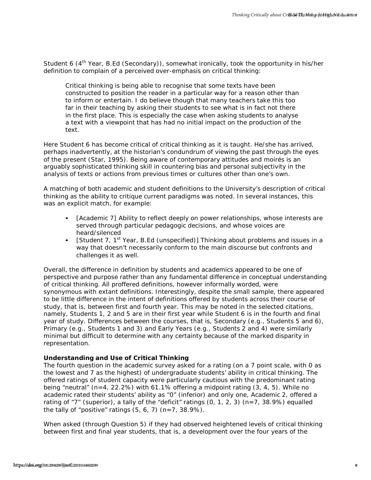Student 6 (4<sup>th</sup> Year, B.Ed (Secondary)), somewhat ironically, took the opportunity in his/her definition to complain of a perceived over-emphasis on critical thinking:

Critical thinking is being able to recognise that some texts have been constructed to position the reader in a particular way for a reason other than to inform or entertain. I do believe though that many teachers take this too far in their teaching by asking their students to see what is in fact not there in the first place. This is especially the case when asking students to analyse a text with a viewpoint that has had no initial impact on the production of the text.

Here Student 6 has become critical of critical thinking as it is taught. He/she has arrived, perhaps inadvertently, at the historian's condundrum of viewing the past through the eyes of the present (Star, 1995). Being aware of contemporary attitudes and moirés is an arguably sophisticated thinking skill in countering bias and personal subjectivity in the analysis of texts or actions from previous times or cultures other than one's own.

A matching of both academic and student definitions to the University's description of critical thinking as the ability to critique current paradigms was noted. In several instances, this was an explicit match, for example:

- [Academic 7] Ability to reflect deeply on power relationships, whose interests are served through particular pedagogic decisions, and whose voices are heard/silenced
- [Student 7, 1<sup>st</sup> Year, B.Ed (unspecified)] Thinking about problems and issues in a way that doesn't necessarily conform to the main discourse but confronts and challenges it as well.

Overall, the difference in definition by students and academics appeared to be one of perspective and purpose rather than any fundamental difference in conceptual understanding of critical thinking. All proffered definitions, however informally worded, were synonymous with extant definitions. Interestingly, despite the small sample, there appeared to be little difference in the intent of definitions offered by students across their course of study, that is, between first and fourth year. This may be noted in the selected citations, namely, Students 1, 2 and 5 are in their first year while Student 6 is in the fourth and final year of study. Differences between the courses, that is, Secondary (e.g., Students 5 and 6), Primary (e.g., Students 1 and 3) and Early Years (e.g., Students 2 and 4) were similarly minimal but difficult to determine with any certainty because of the marked disparity in representation. *https://doi.org/10.20429/ijsotl.2010.040209* 9*IJ-SoTL, Vol. 4 [2010], No. 2, Art. 9*

#### **Understanding and Use of Critical Thinking**

The fourth question in the academic survey asked for a rating (on a 7 point scale, with 0 as the lowest and 7 as the highest) of undergraduate students' ability in critical thinking. The offered ratings of student capacity were particularly cautious with the predominant rating being "neutral" (*n=*4, 22.2%) with 61.1% offering a midpoint rating (3, 4, 5). While no academic rated their students' ability as "0" (inferior) and only one, Academic 2, offered a rating of "7" (superior), a tally of the "deficit" ratings (0, 1, 2, 3) (*n*=7, 38.9%) equalled the tally of "positive" ratings (5, 6, 7) (*n*=7, 38.9%).

When asked (through Question 5) if they had observed heightened levels of critical thinking between first and final year students, that is, a development over the four years of the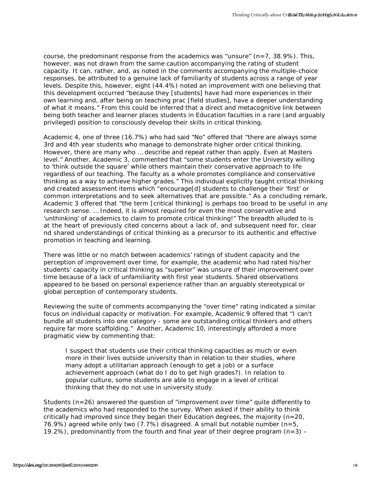course, the predominant response from the academics was "unsure" (*n=*7, 38.9%). This, however, was not drawn from the same caution accompanying the rating of student capacity. It can, rather, and, as noted in the comments accompanying the multiple-choice responses, be attributed to a genuine lack of familiarity of students across a range of year levels. Despite this, however, eight (44.4%) noted an improvement with one believing that this development occurred "because they [students] have had more experiences in their own learning and, after being on teaching prac [field studies], have a deeper understanding of what it means." From this could be inferred that a direct and metacognitive link between being both teacher and learner places students in Education faculties in a rare (and arguably privileged) position to consciously develop their skills in critical thinking.

Academic 4, one of three (16.7%) who had said "No" offered that "there are always some 3rd and 4th year students who manage to demonstrate higher order critical thinking. However, there are many who … describe and repeat rather than apply. Even at Masters level." Another, Academic 3, commented that "some students enter the University willing to 'think outside the square' while others maintain their conservative approach to life regardless of our teaching. The faculty as a whole promotes compliance and conservative thinking as a way to achieve higher grades." This individual explicitly taught critical thinking and created assessment items which "encourage[d] students to challenge their 'first' or common interpretations and to seek alternatives that are possible." As a concluding remark, Academic 3 offered that "the term [critical thinking] is perhaps too broad to be useful in any research sense. … Indeed, it is almost required for even the most conservative and 'unthinking' of academics to claim to promote critical thinking!" The breadth alluded to is at the heart of previously cited concerns about a lack of, and subsequent need for, clear nd shared understandings of critical thinking as a precursor to its authentic and effective promotion in teaching and learning. hook, he prodomiant resconse from the acquisition was numering ( $t = 7.8$  %9). This, consider the control of the control of the control of the control of the control of the control of the control of the control of the contr

There was little or no match between academics' ratings of student capacity and the perception of improvement over time, for example, the academic who had rated his/her students' capacity in critical thinking as "superior" was unsure of their improvement over time because of a lack of unfamiliarity with first year students. Shared observations appeared to be based on personal experience rather than an arguably stereotypical or global perception of contemporary students.

Reviewing the suite of comments accompanying the "over time" rating indicated a similar focus on individual capacity or motivation. For example, Academic 9 offered that "I can't bundle all students into one category - some are outstanding critical thinkers and others require far more scaffolding." Another, Academic 10, interestingly afforded a more pragmatic view by commenting that:

I suspect that students use their critical thinking capacities as much or even more in their lives outside university than in relation to their studies, where many adopt a utilitarian approach (enough to get a job) or a surface achievement approach (what do I do to get high grades?). In relation to popular culture, some students are able to engage in a level of critical thinking that they do not use in university study.

Students (*n*=26) answered the question of "improvement over time" quite differently to the academics who had responded to the survey. When asked if their ability to think critically had improved since they began their Education degrees, the majority (*n=*20, 76.9%) agreed while only two (7.7%) disagreed. A small but notable number (*n=*5, 19.2%), predominantly from the fourth and final year of their degree program (*n=*3) –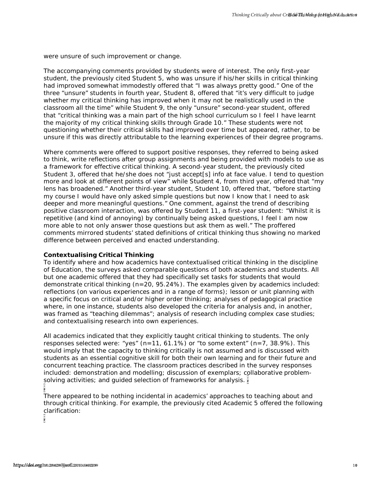were unsure of such improvement or change.

The accompanying comments provided by students were of interest. The only first-year student, the previously cited Student 5, who was unsure if his/her skills in critical thinking had improved somewhat immodestly offered that "I was always pretty good." One of the three "unsure" students in fourth year, Student 8, offered that "it's very difficult to judge whether my critical thinking has improved when it may not be realistically used in the classroom all the time" while Student 9, the only "unsure" second-year student, offered that "critical thinking was a main part of the high school curriculum so I feel I have learnt the majority of my critical thinking skills through Grade 10." These students were not questioning whether their critical skills had improved over time but appeared, rather, to be unsure if this was directly attributable to the learning experiences of their degree programs.

Where comments were offered to support positive responses, they referred to being asked to think, write reflections after group assignments and being provided with models to use as a framework for effective critical thinking. A second-year student, the previously cited Student 3, offered that he/she does not "just accept[s] info at face value. I tend to question more and look at different points of view" while Student 4, from third year, offered that "my lens has broadened." Another third-year student, Student 10, offered that, "before starting my course I would have only asked simple questions but now I know that I need to ask deeper and more meaningful questions." One comment, against the trend of describing positive classroom interaction, was offered by Student 11, a first-year student: "Whilst it is repetitive (and kind of annoying) by continually being asked questions, I feel I am now more able to not only answer those questions but ask them as well." The proffered comments mirrored students' stated definitions of critical thinking thus showing no marked difference between perceived and enacted understanding. <sup>3</sup> noduction of such intercoment of choracy<br>
The accompanying comments crookded by students were of linears. The only first-veice untercomments condition to proceed the condition of the proceed term in the condition of th

#### **Contextualising Critical Thinking**

To identify where and how academics have contextualised critical thinking in the discipline of Education, the surveys asked comparable questions of both academics and students. All but one academic offered that they had specifically set tasks for students that would demonstrate critical thinking (*n=*20, 95.24%). The examples given by academics included: reflections (on various experiences and in a range of forms); lesson or unit planning with a specific focus on critical and/or higher order thinking; analyses of pedagogical practice where, in one instance, students also developed the criteria for analysis and, in another, was framed as "teaching dilemmas"; analysis of research including complex case studies; and contextualising research into own experiences.

All academics indicated that they explicitly taught critical thinking to students. The only responses selected were: "yes" (*n=*11, 61.1%) or "to some extent" (*n=*7, 38.9%). This would imply that the capacity to thinking critically is not assumed and is discussed with students as an essential cognitive skill for both their own learning and for their future and concurrent teaching practice. The classroom practices described in the survey responses included: demonstration and modelling; discussion of exemplars; collaborative problemsolving activities; and guided selection of frameworks for analysis.

ω

There appeared to be nothing incidental in academics' approaches to teaching about and through critical thinking. For example, the previously cited Academic 5 offered the following clarification:

Φ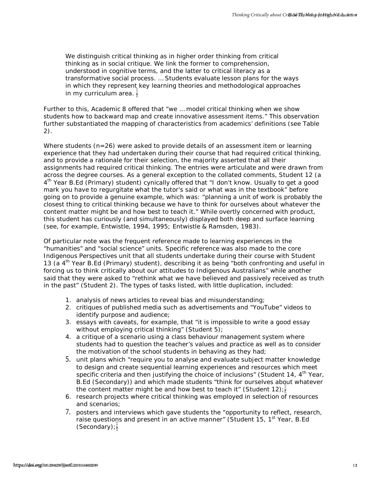We distinguish critical thinking as in higher order thinking from critical thinking as in social critique. We link the former to comprehension, understood in cognitive terms, and the latter to critical literacy as a transformative social process. … Students evaluate lesson plans for the ways in which they represent key learning theories and methodological approaches in my curriculum area.

Further to this, Academic 8 offered that "we … model critical thinking when we show students how to backward map and create innovative assessment items." This observation further substantiated the mapping of characteristics from academics' definitions (see Table 2).

Where students (*n*=26) were asked to provide details of an assessment item or learning experience that they had undertaken during their course that had required critical thinking, and to provide a rationale for their selection, the majority asserted that all their assignments had required critical thinking. The entries were articulate and were drawn from across the degree courses. As a general exception to the collated comments, Student 12 (a 4<sup>th</sup> Year B.Ed (Primary) student) cynically offered that "I don't know. Usually to get a good mark you have to regurgitate what the tutor's said or what was in the textbook" before going on to provide a genuine example, which was: "planning a unit of work is probably the closest thing to critical thinking because we have to think for ourselves about whatever the content matter might be and how best to teach it." While overtly concerned with product, this student has curiously (and simultaneously) displayed both deep and surface learning (see, for example, Entwistle, 1994, 1995; Entwistle & Ramsden, 1983). hook orientation in the thing is in higher coar thinking for multiple in the maximum of the maximum of the maximum of the maximum of the maximum of the maximum of the maximum of the maximum of the maximum of the maximum of

Of particular note was the frequent reference made to learning experiences in the "humanities" and "social science" units. Specific reference was also made to the core Indigenous Perspectives unit that all students undertake during their course with Student 13 (a  $4<sup>th</sup>$  Year B.Ed (Primary) student), describing it as being "both confronting and useful in forcing us to think critically about our attitudes to Indigenous Australians" while another said that they were asked to "rethink what we have believed and passively received as truth in the past" (Student 2). The types of tasks listed, with little duplication, included:

- 1. analysis of news articles to reveal bias and misunderstanding;
- 2. critiques of published media such as advertisements and "YouTube" videos to identify purpose and audience;
- 3. essays with caveats, for example, that "it is impossible to write a good essay without employing critical thinking" (Student 5);
- 4. a critique of a scenario using a class behaviour management system where students had to question the teacher's values and practice as well as to consider the motivation of the school students in behaving as they had;
- 5. unit plans which "require you to analyse and evaluate subject matter knowledge to design and create sequential learning experiences and resources which meet specific criteria and then justifying the choice of inclusions" (Student 14,  $4<sup>th</sup>$  Year, B.Ed (Secondary)) and which made students "think for ourselves about whatever the content matter might be and how best to teach it" (Student 12);
- 6. research projects where critical thinking was employed in selection of resources and scenarios;
- 7. posters and interviews which gave students the "opportunity to reflect, research, raise questions and present in an active manner" (Student 15, 1<sup>st</sup> Year, B.Ed (Secondary);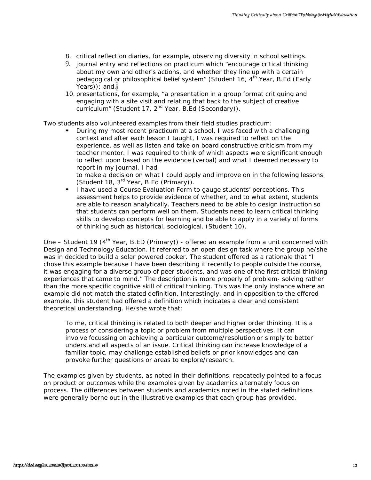- 8. critical reflection diaries, for example, observing diversity in school settings.
- 9. journal entry and reflections on practicum which "encourage critical thinking about my own and other's actions, and whether they line up with a certain pedagogical or philosophical belief system" (Student 16, 4<sup>th</sup> Year, B.Ed (Early Years)); and,
- 10. presentations, for example, "a presentation in a group format critiquing and engaging with a site visit and relating that back to the subject of creative curriculum" (Student 17, 2<sup>nd</sup> Year, B.Ed (Secondary)).

Two students also volunteered examples from their field studies practicum:

• During my most recent practicum at a school, I was faced with a challenging context and after each lesson I taught, I was required to reflect on the experience, as well as listen and take on board constructive criticism from my teacher mentor. I was required to think of which aspects were significant enough to reflect upon based on the evidence (verbal) and what I deemed necessary to report in my journal. I had

to make a decision on what I could apply and improve on in the following lessons. (Student 18, 3rd Year, B.Ed (Primary)).

• I have used a Course Evaluation Form to gauge students' perceptions. This assessment helps to provide evidence of whether, and to what extent, students are able to reason analytically. Teachers need to be able to design instruction so that students can perform well on them. Students need to learn critical thinking skills to develop concepts for learning and be able to apply in a variety of forms of thinking such as historical, sociological. (Student 10).

One – Student 19 (4<sup>th</sup> Year, B.ED (Primary)) - offered an example from a unit concerned with Design and Technology Education. It referred to an open design task where the group he/she was in decided to build a solar powered cooker. The student offered as a rationale that "I chose this example because I have been describing it recently to people outside the course, it was engaging for a diverse group of peer students, and was one of the first critical thinking experiences that came to mind." The description is more properly of problem- solving rather than the more specific cognitive skill of critical thinking. This was the only instance where an example did not match the stated definition. Interestingly, and in opposition to the offered example, this student had offered a definition which indicates a clear and consistent theoretical understanding. He/she wrote that: **b** contain the the state of the state of the state of the state of the state of the state of the state of the state of the state of the state of the state of the state of the state of the state of the state of the state

To me, critical thinking is related to both deeper and higher order thinking. It is a process of considering a topic or problem from multiple perspectives. It can involve focussing on achieving a particular outcome/resolution or simply to better understand all aspects of an issue. Critical thinking can increase knowledge of a familiar topic, may challenge established beliefs or prior knowledges and can provoke further questions or areas to explore/research.

The examples given by students, as noted in their definitions, repeatedly pointed to a focus on product or outcomes while the examples given by academics alternately focus on process. The differences between students and academics noted in the stated definitions were generally borne out in the illustrative examples that each group has provided.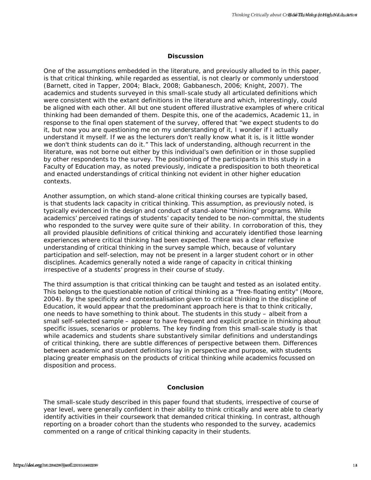#### **Discussion**

One of the assumptions embedded in the literature, and previously alluded to in this paper, is that critical thinking, while regarded as essential, is not clearly or commonly understood (Barnett, cited in Tapper, 2004; Black, 2008; Gabbanesch, 2006; Knight, 2007). The academics and students surveyed in this small-scale study all articulated definitions which were consistent with the extant definitions in the literature and which, interestingly, could be aligned with each other. All but one student offered illustrative examples of where critical thinking had been demanded of them. Despite this, one of the academics, Academic 11, in response to the final open statement of the survey, offered that "we expect students to do it, but now you are questioning me on my understanding of it, I wonder if I actually understand it myself. If we as the lecturers don't really know what it is, is it little wonder we don't think students can do it." This lack of understanding, although recurrent in the literature, was not borne out either by this individual's own definition or in those supplied by other respondents to the survey. The positioning of the participants in this study in a Faculty of Education may, as noted previously, indicate a predisposition to both theoretical and enacted understandings of critical thinking not evident in other higher education contexts. head of the assumptions enrodded in this issue. The coupled to this paper is real restricted to the paper in restriction that the matter in the coupled to the coupled to the coupled to the coupled to the coupled of the cou

Another assumption, on which stand-alone critical thinking courses are typically based, is that students lack capacity in critical thinking. This assumption, as previously noted, is typically evidenced in the design and conduct of stand-alone "thinking" programs. While academics' perceived ratings of students' capacity tended to be non-committal, the students who responded to the survey were quite sure of their ability. In corroboration of this, they all provided plausible definitions of critical thinking and accurately identified those learning experiences where critical thinking had been expected. There was a clear reflexive understanding of critical thinking in the survey sample which, because of voluntary participation and self-selection, may not be present in a larger student cohort or in other disciplines. Academics generally noted a wide range of capacity in critical thinking irrespective of a students' progress in their course of study.

The third assumption is that critical thinking can be taught and tested as an isolated entity. This belongs to the questionable notion of critical thinking as a "free-floating entity" (Moore, 2004). By the specificity and contextualisation given to critical thinking in the discipline of Education, it would appear that the predominant approach here is that to think critically, one needs to have something to think about. The students in this study – albeit from a small self-selected sample – appear to have frequent and explicit practice in thinking about specific issues, scenarios or problems. The key finding from this small-scale study is that while academics and students share substantively similar definitions and understandings of critical thinking, there are subtle differences of perspective between them. Differences between academic and student definitions lay in perspective and purpose, with students placing greater emphasis on the products of critical thinking while academics focussed on disposition and process.

#### **Conclusion**

The small-scale study described in this paper found that students, irrespective of course of year level, were generally confident in their ability to think critically and were able to clearly identify activities in their coursework that demanded critical thinking. In contrast, although reporting on a broader cohort than the students who responded to the survey, academics commented on a range of critical thinking capacity in their students.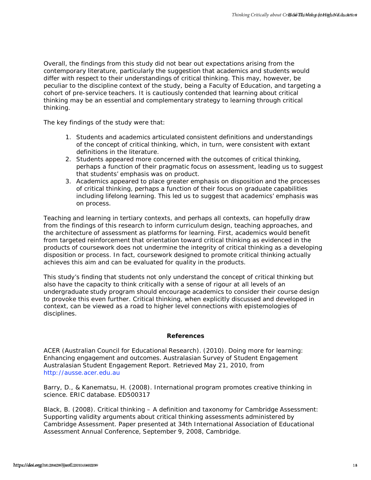Overall, the findings from this study did not bear out expectations arising from the contemporary literature, particularly the suggestion that academics and students would differ with respect to their understandings of critical thinking. This may, however, be peculiar to the discipline context of the study, being a Faculty of Education, and targeting a cohort of pre-service teachers. It is cautiously contended that learning *about* critical thinking may be an essential and complementary strategy to learning *through* critical thinking. *hered*, the findings from this study did not box real representations while given be<br>continuously the subset of the study of the study of the study of the study of the study of the study of the study of the study of the

The key findings of the study were that:

- 1. Students and academics articulated consistent definitions and understandings of the concept of critical thinking, which, in turn, were consistent with extant definitions in the literature.
- 2. Students appeared more concerned with the outcomes of critical thinking, perhaps a function of their pragmatic focus on assessment, leading us to suggest that students' emphasis was on *product.*
- 3. Academics appeared to place greater emphasis on disposition and the processes of critical thinking, perhaps a function of their focus on graduate capabilities including lifelong learning. This led us to suggest that academics' emphasis was on *process.*

Teaching and learning in tertiary contexts, and perhaps all contexts, can hopefully draw from the findings of this research to inform curriculum design, teaching approaches, and the architecture of assessment as platforms for learning. First, academics would benefit from targeted reinforcement that orientation toward critical thinking as evidenced in the products of coursework does not undermine the integrity of critical thinking as a developing disposition or process. In fact, coursework designed to promote critical thinking actually achieves this aim and can be evaluated for quality in the products.

This study's finding that students not only understand the concept of critical thinking but also have the capacity to think critically with a sense of rigour at all levels of an undergraduate study program should encourage academics to consider their course design to provoke this even further. Critical thinking, when explicitly discussed and developed in context, can be viewed as a road to higher level connections with epistemologies of disciplines.

#### **References**

ACER (Australian Council for Educational Research). (2010). *Doing more for learning: Enhancing engagement and outcomes.* Australasian Survey of Student Engagement Australasian Student Engagement Report. Retrieved May 21, 2010, from [http://ausse.acer.edu.au](http://ausse.acer.edu.au/)

Barry, D., & Kanematsu, H. (2008). *International program promotes creative thinking in science.* ERIC database. ED500317

Black, B. (2008). *Critical thinking – A definition and taxonomy for Cambridge Assessment: Supporting validity arguments about critical thinking assessments administered by Cambridge Assessment.* Paper presented at 34th International Association of Educational Assessment Annual Conference, September 9, 2008, Cambridge.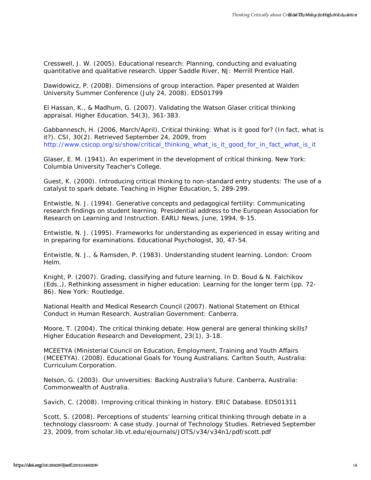Cresswell, J. W. (2005). *Educational research: Planning, conducting and evaluating quantitative and qualitative research*. Upper Saddle River, NJ: Merrill Prentice Hall.

Dawidowicz, P. (2008). *Dimensions of group interaction.* Paper presented at Walden University Summer Conference (July 24, 2008). ED501799

El Hassan, K., & Madhum, G. (2007). Validating the Watson Glaser critical thinking appraisal. *Higher Education, 54(3)*, 361-383.

Gabbannesch, H. (2006, March/April). *Critical thinking: What is it good for? (In fact, what is it?)*. CSI, 30(2). Retrieved September 24, 2009, from [http://www.csicop.org/si/show/critical\\_thinking\\_what\\_is\\_it\\_good\\_for\\_in\\_fact\\_what\\_is\\_it](http://www.csicop.org/si/show/critical_thinking_what_is_it_good_for_in_fact_what_is_it)

Glaser, E. M. (1941). *An experiment in the development of critical thinking*. New York: Columbia University Teacher's College.

Guest, K. (2000). Introducing critical thinking to non-standard entry students: The use of a catalyst to spark debate. *Teaching in Higher Education, 5,* 289-299.

Entwistle, N. J. (1994). *Generative concepts and pedagogical fertility: Communicating research findings on student learning*. Presidential address to the European Association for Research on Learning and Instruction. EARLI News, June, 1994, 9-15.

Entwistle, N. J. (1995). Frameworks for understanding as experienced in essay writing and in preparing for examinations. *Educational Psychologist, 30*, 47-54.

Entwistle, N. J., & Ramsden, P. (1983). *Understanding student learning*. London: Croom Helm.

Knight, P. (2007). Grading, classifying and future learning. In D. Boud & N. Falchikov (Eds.,), *Rethinking assessment in higher education: Learning for the longer term* (pp. 72- 86)*.* New York: Routledge.

National Health and Medical Research Council (2007). *National Statement on Ethical Conduct in Human Research.* Australian Government: Canberra.

Moore, T. (2004). The critical thinking debate: How general are general thinking skills? *Higher Education Research and Development, 23(1),* 3-18.

MCEETYA (Ministerial Council on Education, Employment, Training and Youth Affairs (MCEETYA). (2008). *Educational Goals for Young Australians.* Carlton South, Australia: Curriculum Corporation.

Nelson, G. (2003). *Our universities: Backing Australia's future.* Canberra, Australia: Commonwealth of Australia.

Savich, C. (2008). *Improving critical thinking in history.* ERIC Database. ED501311

Scott, S. (2008). Perceptions of students' learning critical thinking through debate in a technology classroom: A case study*. Journal of Technology Studies*. Retrieved September 23, 2009, from scholar.lib.vt.edu/ejournals/JOTS/v34/v34n1/pdf/scott.pdf htms://doi.org/10.20429 / Faluensiers/interaction-files and contenting and contenting contenting critical Thinking Critical Critical Thinking Critical Thinking Critical Thinking Critical Thinking Critical Thinking Critical